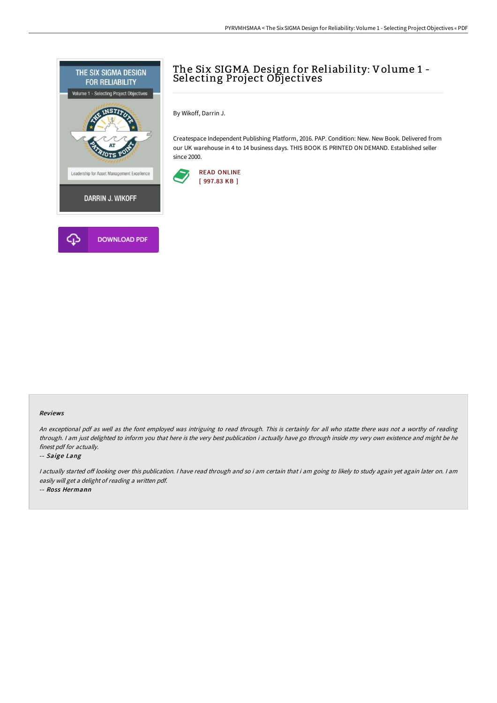

# The Six SIGMA Design for Reliability: Volume 1 - Selecting Project Objectives

By Wikoff, Darrin J.

Createspace Independent Publishing Platform, 2016. PAP. Condition: New. New Book. Delivered from our UK warehouse in 4 to 14 business days. THIS BOOK IS PRINTED ON DEMAND. Established seller since 2000.



### Reviews

An exceptional pdf as well as the font employed was intriguing to read through. This is certainly for all who statte there was not a worthy of reading through. <sup>I</sup> am just delighted to inform you that here is the very best publication i actually have go through inside my very own existence and might be he finest pdf for actually.

### -- Saige Lang

I actually started off looking over this publication. I have read through and so i am certain that i am going to likely to study again yet again later on. I am easily will get <sup>a</sup> delight of reading <sup>a</sup> written pdf.

-- Ross Hermann